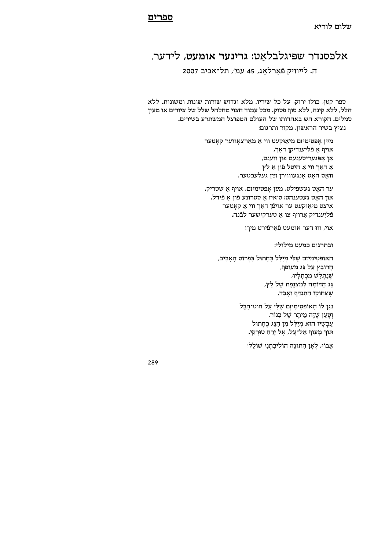## אלכסנדר שפיגלבלאט: גרינער אומעט, לידער,

ה. לייוויק פֿארלאג, 45 עמ׳, תל־אביב 2007

ספר קטן, כולו ירוק, על כל שיריו. מלא וגדוש שורות שונות ומשונות. ללא הלל, ללא קינה, ללא סוף פסוק. מכל עמוד חצוי מחלחל שלל של ציורים או מעין סמלים. הקורא חש באחדותו של העולם המפוצל המשתרע בשירים. נציץ בשיר הראשון, מקור ותרגום:

> מײַן אפּטימיזם מיאוּקעט ווי א מארצאווער קאטער אויף אַ פֿליִענדיקן דאַך, אַן אַפּגעריסענעם פֿון ווענט, אַ דאַך ווי אַ היטל פֿון אַ לץ וואַס האַט אַנגעוווירן זײַן געלעכטער.

> ער האַט געשפּילט, מײַן אַפּטימיזם, אויף אַ שטריק, אוז האט געטענהט: ס׳איז א סטרונע פֿוז א פֿידל. איצט מיאַוּקעט ער אויפֿן דאַך ווי אַ קאַטער פֿליִענדיק אַרויף צו אַ טערקישער לבֿנה.

> > אוי, וווּ דער אומעט פֿאַרפֿירט מיך!

ובתרגום כמעט מילולי:

האופּטִימִיזִם שֶׁלִּי מִיַלֵּל בֵּחָתוּל בִּפְרוֹס הַאַבִיב, הַרוֹבֵץ עַל גַּג מִעוֹפֵף, שנתלש מכתליו; גַּג הַדּוֹמֵה לְמִצְנֵפֵת שֵׁל לֵץ, שֶׁצְחוֹקוֹ הָתְנַדֵּף וְאָבָד.

> נגן לו האופטימיזם שלי על חוט־חבל וְטַעַן שֶׁזֶה מֵיתַר שֵׁל כִּנּוֹר. עַכִשְׁיו הוּא מִיַלֵל מִן הַגַּג בֶּחָתוּל תּוֹרְ מַעוֹף אֵל־עַל, אֵל יַרֵחַ טוּרְקִי.

אֲבוֹי, לְאָן הַתוּגָה הוֹלִיכַתִנִי שׁוֹלָל!

289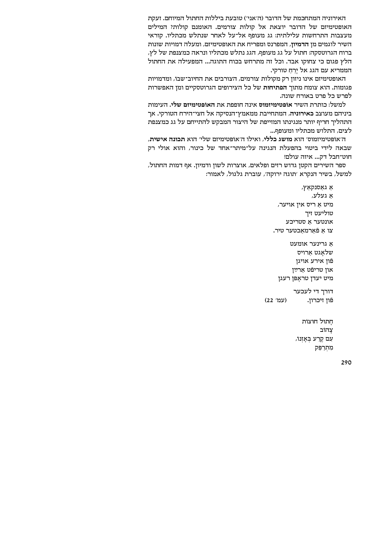האירוניה המתחכמת של הדובר (ה'אני') טובעת ביללות החתול המיוחם. זעקת האופטימיזם של הדובר יוצאת אל קולות צורמים. האומנם קולות? המילים מעצבות התרחשות עלילתית: גג מעופף אל־על לאחר שנתלש מכתליו. קוראי השיר לוגמים מן הדמיון, המפרנס ומפריח את האופטימיזם, ומעלה דמויות שונות ברוח הגרוטסקה: חתול על גג מעופף, הגג נתלש מכתליו ונראה כמצנפת של לץ, הלץ פגום כי צחוקו אבד. וכל זה מתרחש בכוח התוגה... המפעילה את החתול הממריא עם הגג אל יֵרֵחַ טורקי.

האופטימיזם אינו ניזון רק מקולות צורמים, הצורבים את החיוב־שבוֹ, ומדמויות פגומות. הוא צומח מתוך הפתיחות של כל הצירופים הגרוטסקיים ומן האפשרות לפרש כל פרט באורח שונה.

למשל: כותרת השיר אופטימיזמוס אינה חופפת את האופטימיזם שלי. העימות ביניהם מעוצב כאירוניה, המתחייבת ממאמץ־הנסיקה אל חצי־הירח הטורקי. אר התהליך חריף יותר מנגינתו המזייפת של היצור המבקש להתייחם על גג כמצנפת לצים, התלוש מכתליו ומעופף...

ה'אוֹפּטימיזמוס' הוא מושג כללי, ואילו ה'אוֹפּטימיזם שלי' הוא תכונה אישית, שבאה לידי ביטוי בהפעלת הנגינה על־מיתר־אחד של כינור, והוא אולי רק חוט־חבל דק... איזה עולם!

ספר השירים הקטן גדוש רזים ופלאים, אוצרות לשון ודמיון. אף דמות החתול, למשל, בשיר הנקרא ׳תוגה ירוקה׳, עוברת גלגול, לאמור:

> אַ גאַסנקאַץ, א געלע, מיט א ריס אין אויער, טוליעט זיך אונטער א סטריכע צו א פֿארמאכטער טיר.

א גרינער אומעט שלאגט ארויס פֿון אירע אויגן און טריפֿט ארײַן מיט יעדן טראָפּן רעג<mark>ן</mark>

דורך די לעכער (עמ׳ 22) פֿון זיכרון.

> חֲתוּל חוּצוֹת צהוב עם קרע באַזנוֹ, מְתִרַפֵּק

> > 290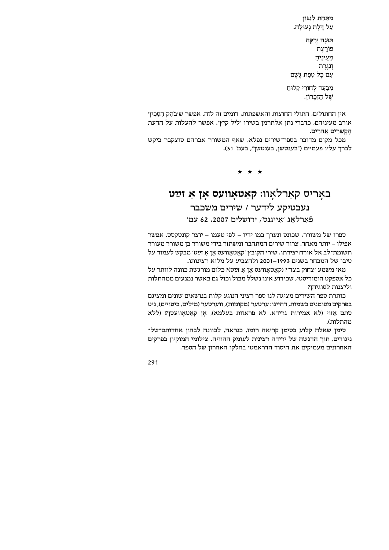מתחת לגגון על דֵלֵת נִעוּלַה.

תוּגָה יִרְקָה פורצת מֵעֵינֵיהַ  $r$ ונגרת עם כַּל טִפַּת גֵּשֵׁם

מבַּעַד לִחוֹרֵי קִלּוּחַ של הַזִּכַּרוֹן.

אין החתולים, חתולי החוצות והאשפתות, דומים זה לזה. אפשר ש׳בֹהַק הַסַּכִּין׳ אורב מעיניהם, כדברי נתן אלתרמן בשירו 'ליל קיץ'. אפשר להעלות על הדעת הקשרים אחרים.

מכל מקום מדובר בספר־שירים נפלא, שאף המשורר אברהם סוצקבר ביקש לברך עליו פעמיים ("בענטשן, בענטשן", בעמ' 31).

 $\star$   $\star$   $\star$ 

## באָריס קאַרלאָוו: קאַטאָוועס אָן אַ זײַט  $i$ נעכטיקע לידער / שירים משכבר 'פֿארלאג 'אייגנס', ירושלים 2007, 62 עמ

ספרו של משורר, שכונס ונערך במו ידיו - לפי טעמו - יוצר קונטקסט. אפשר אפילו – יותר מאחד. צרור שירים המתחבר ומשתזר בידי משורר בן משורר מעורר וד כי השומת ה'תשומת יצירתו. שירי הקובץ 'קאַטאַוועס אַן אַ זײַט' מבקש לעמוד על .<br>טיבו של המבחר בשנים 1993–2001 ולהצביע על מלוא רצינותו

מאי משמע ′צחוק בצד׳? (קאטאוועס אן א זײַט)? כלום מורגשת כוונה לוותר על כל אספקט הומוריסטי, שכידוע אינו נשלל מכול וכול גם כאשר נמנעים ממהתלות וליצנות לסוגיהו?

כותרת ספר השירים מציגה לנו ספר רציני הנוגע קלות בנושאים שונים ומציגם בפרקים מסומנים בשמות, דהיינו: ערטער (מקומות), ווערטער (מילים, ביטויים), ניט סתם אַווי (לא אמירות גרידא, לא פראוות בעלמא), אַן קאַטאַוועסן?! (ללא מהתלות).

סימן שאלה קלוע בסימן קריאה רומז, כנראה, לכוונה לבחון אחדותם־של־ ניגודים, תוך הדגשה של ירידה רצינית לעומק ההוויה. צילומי המוקיון בפרקים האחרונים מעמיקים את היסוד הדראמטי בחלקו האחרון של הספר.

291